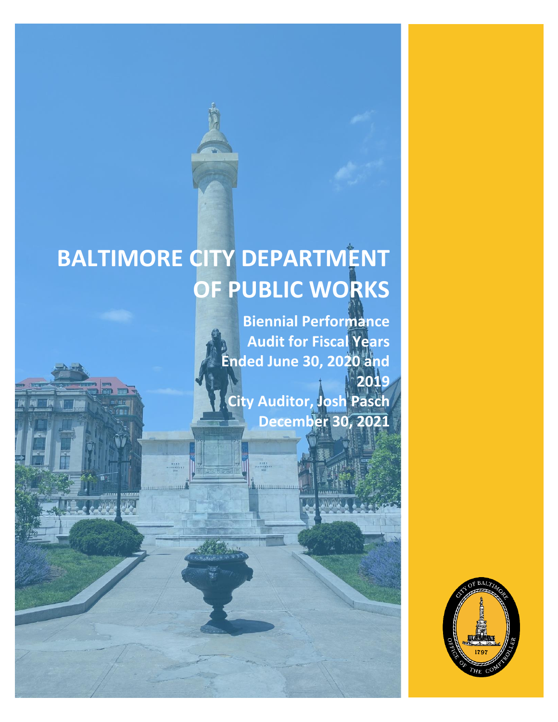# **BALTIMORE CITY DEPARTMENT OF PUBLIC WORKS**

MA.

**Biennial Performance Audit for Fiscal Years Ended June 30, 2020 and 2019 City Auditor, Josh Pasch December 30, 2021**

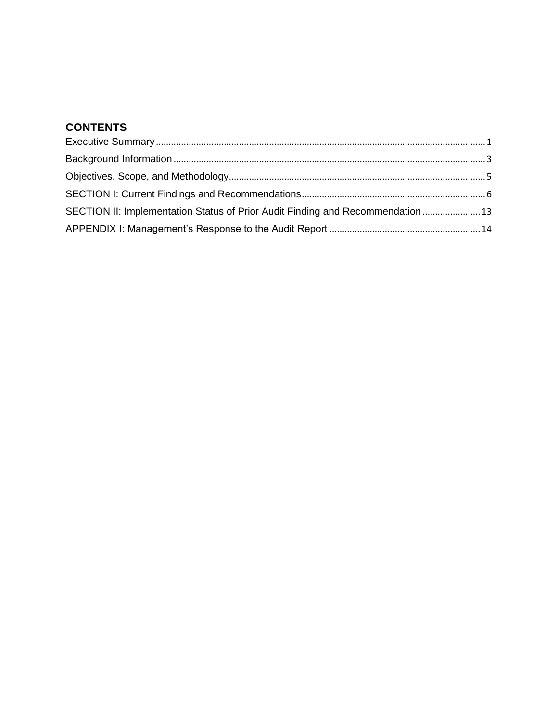## **CONTENTS**

| SECTION II: Implementation Status of Prior Audit Finding and Recommendation  13 |  |
|---------------------------------------------------------------------------------|--|
|                                                                                 |  |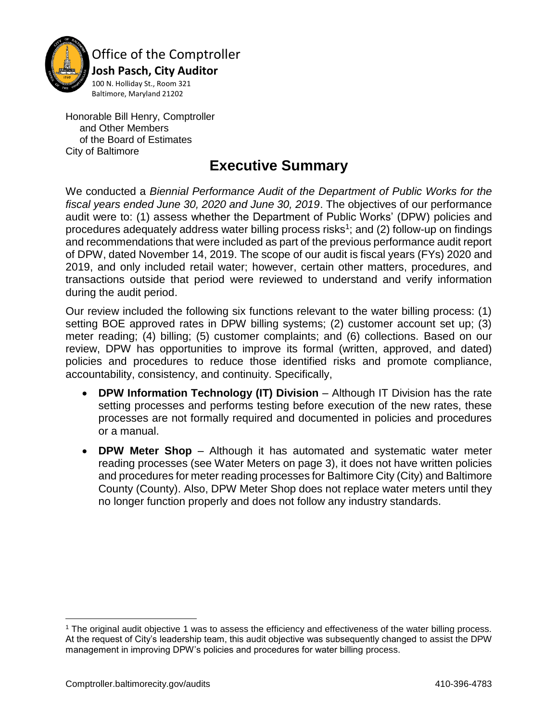

Office of the Comptroller

 **Josh Pasch, City Auditor** 100 N. Holliday St., Room 321 Baltimore, Maryland 21202

Honorable Bill Henry, Comptroller and Other Members of the Board of Estimates City of Baltimore

## **Executive Summary**

<span id="page-2-0"></span>We conducted a *Biennial Performance Audit of the Department of Public Works for the fiscal years ended June 30, 2020 and June 30, 2019*. The objectives of our performance audit were to: (1) assess whether the Department of Public Works' (DPW) policies and procedures adequately address water billing process risks<sup>1</sup>; and (2) follow-up on findings and recommendations that were included as part of the previous performance audit report of DPW, dated November 14, 2019. The scope of our audit is fiscal years (FYs) 2020 and 2019, and only included retail water; however, certain other matters, procedures, and transactions outside that period were reviewed to understand and verify information during the audit period.

Our review included the following six functions relevant to the water billing process: (1) setting BOE approved rates in DPW billing systems; (2) customer account set up; (3) meter reading; (4) billing; (5) customer complaints; and (6) collections. Based on our review, DPW has opportunities to improve its formal (written, approved, and dated) policies and procedures to reduce those identified risks and promote compliance, accountability, consistency, and continuity. Specifically,

- **DPW Information Technology (IT) Division** Although IT Division has the rate setting processes and performs testing before execution of the new rates, these processes are not formally required and documented in policies and procedures or a manual.
- **DPW Meter Shop** Although it has automated and systematic water meter reading processes (see Water Meters on page 3), it does not have written policies and procedures for meter reading processes for Baltimore City (City) and Baltimore County (County). Also, DPW Meter Shop does not replace water meters until they no longer function properly and does not follow any industry standards.

l

<sup>1</sup> The original audit objective 1 was to assess the efficiency and effectiveness of the water billing process. At the request of City's leadership team, this audit objective was subsequently changed to assist the DPW management in improving DPW's policies and procedures for water billing process.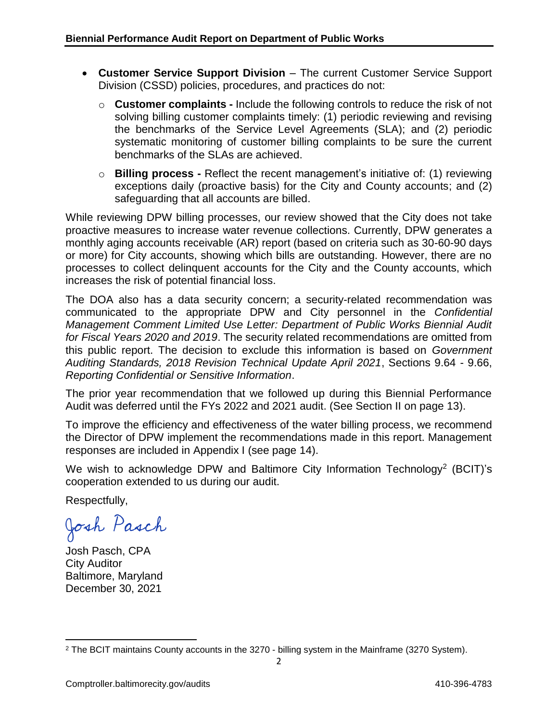- **Customer Service Support Division** The current Customer Service Support Division (CSSD) policies, procedures, and practices do not:
	- o **Customer complaints -** Include the following controls to reduce the risk of not solving billing customer complaints timely: (1) periodic reviewing and revising the benchmarks of the Service Level Agreements (SLA); and (2) periodic systematic monitoring of customer billing complaints to be sure the current benchmarks of the SLAs are achieved.
	- o **Billing process -** Reflect the recent management's initiative of: (1) reviewing exceptions daily (proactive basis) for the City and County accounts; and (2) safeguarding that all accounts are billed.

While reviewing DPW billing processes, our review showed that the City does not take proactive measures to increase water revenue collections. Currently, DPW generates a monthly aging accounts receivable (AR) report (based on criteria such as 30-60-90 days or more) for City accounts, showing which bills are outstanding. However, there are no processes to collect delinquent accounts for the City and the County accounts, which increases the risk of potential financial loss.

The DOA also has a data security concern; a security-related recommendation was communicated to the appropriate DPW and City personnel in the *Confidential Management Comment Limited Use Letter: Department of Public Works Biennial Audit for Fiscal Years 2020 and 2019*. The security related recommendations are omitted from this public report. The decision to exclude this information is based on *Government Auditing Standards, 2018 Revision Technical Update April 2021*, Sections 9.64 - 9.66, *Reporting Confidential or Sensitive Information*.

The prior year recommendation that we followed up during this Biennial Performance Audit was deferred until the FYs 2022 and 2021 audit. (See Section II on page 13).

To improve the efficiency and effectiveness of the water billing process, we recommend the Director of DPW implement the recommendations made in this report. Management responses are included in Appendix I (see page 14).

We wish to acknowledge DPW and Baltimore City Information Technology<sup>2</sup> (BCIT)'s cooperation extended to us during our audit.

Respectfully,

Josh Pasch

Josh Pasch, CPA City Auditor Baltimore, Maryland December 30, 2021

 $\overline{\phantom{a}}$ <sup>2</sup> The BCIT maintains County accounts in the 3270 - billing system in the Mainframe (3270 System).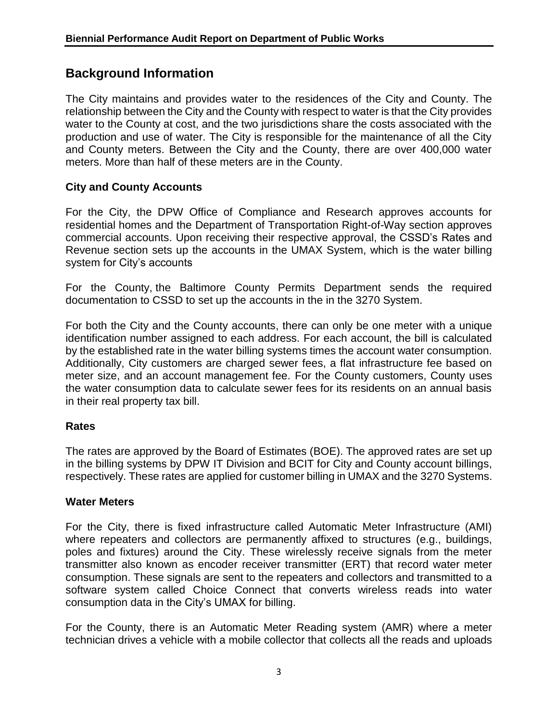## **Background Information**

The City maintains and provides water to the residences of the City and County. The relationship between the City and the County with respect to water is that the City provides water to the County at cost, and the two jurisdictions share the costs associated with the production and use of water. The City is responsible for the maintenance of all the City and County meters. Between the City and the County, there are over 400,000 water meters. More than half of these meters are in the County.

#### **City and County Accounts**

For the City, the DPW Office of Compliance and Research approves accounts for residential homes and the Department of Transportation Right-of-Way section approves commercial accounts. Upon receiving their respective approval, the CSSD's Rates and Revenue section sets up the accounts in the UMAX System, which is the water billing system for City's accounts

For the County, the Baltimore County Permits Department sends the required documentation to CSSD to set up the accounts in the in the 3270 System.

For both the City and the County accounts, there can only be one meter with a unique identification number assigned to each address. For each account, the bill is calculated by the established rate in the water billing systems times the account water consumption. Additionally, City customers are charged sewer fees, a flat infrastructure fee based on meter size, and an account management fee. For the County customers, County uses the water consumption data to calculate sewer fees for its residents on an annual basis in their real property tax bill.

## **Rates**

The rates are approved by the Board of Estimates (BOE). The approved rates are set up in the billing systems by DPW IT Division and BCIT for City and County account billings, respectively. These rates are applied for customer billing in UMAX and the 3270 Systems.

#### **Water Meters**

For the City, there is fixed infrastructure called Automatic Meter Infrastructure (AMI) where repeaters and collectors are permanently affixed to structures (e.g., buildings, poles and fixtures) around the City. These wirelessly receive signals from the meter transmitter also known as encoder receiver transmitter (ERT) that record water meter consumption. These signals are sent to the repeaters and collectors and transmitted to a software system called Choice Connect that converts wireless reads into water consumption data in the City's UMAX for billing.

For the County, there is an Automatic Meter Reading system (AMR) where a meter technician drives a vehicle with a mobile collector that collects all the reads and uploads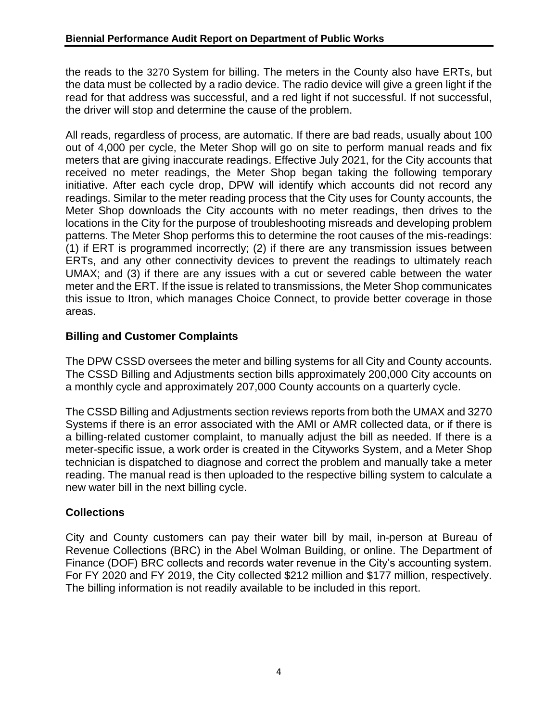the reads to the 3270 System for billing. The meters in the County also have ERTs, but the data must be collected by a radio device. The radio device will give a green light if the read for that address was successful, and a red light if not successful. If not successful, the driver will stop and determine the cause of the problem.

All reads, regardless of process, are automatic. If there are bad reads, usually about 100 out of 4,000 per cycle, the Meter Shop will go on site to perform manual reads and fix meters that are giving inaccurate readings. Effective July 2021, for the City accounts that received no meter readings, the Meter Shop began taking the following temporary initiative. After each cycle drop, DPW will identify which accounts did not record any readings. Similar to the meter reading process that the City uses for County accounts, the Meter Shop downloads the City accounts with no meter readings, then drives to the locations in the City for the purpose of troubleshooting misreads and developing problem patterns. The Meter Shop performs this to determine the root causes of the mis-readings: (1) if ERT is programmed incorrectly; (2) if there are any transmission issues between ERTs, and any other connectivity devices to prevent the readings to ultimately reach UMAX; and (3) if there are any issues with a cut or severed cable between the water meter and the ERT. If the issue is related to transmissions, the Meter Shop communicates this issue to Itron, which manages Choice Connect, to provide better coverage in those areas.

## **Billing and Customer Complaints**

The DPW CSSD oversees the meter and billing systems for all City and County accounts. The CSSD Billing and Adjustments section bills approximately 200,000 City accounts on a monthly cycle and approximately 207,000 County accounts on a quarterly cycle.

The CSSD Billing and Adjustments section reviews reports from both the UMAX and 3270 Systems if there is an error associated with the AMI or AMR collected data, or if there is a billing-related customer complaint, to manually adjust the bill as needed. If there is a meter-specific issue, a work order is created in the Cityworks System, and a Meter Shop technician is dispatched to diagnose and correct the problem and manually take a meter reading. The manual read is then uploaded to the respective billing system to calculate a new water bill in the next billing cycle.

## **Collections**

City and County customers can pay their water bill by mail, in-person at Bureau of Revenue Collections (BRC) in the Abel Wolman Building, or online. The Department of Finance (DOF) BRC collects and records water revenue in the City's accounting system. For FY 2020 and FY 2019, the City collected \$212 million and \$177 million, respectively. The billing information is not readily available to be included in this report.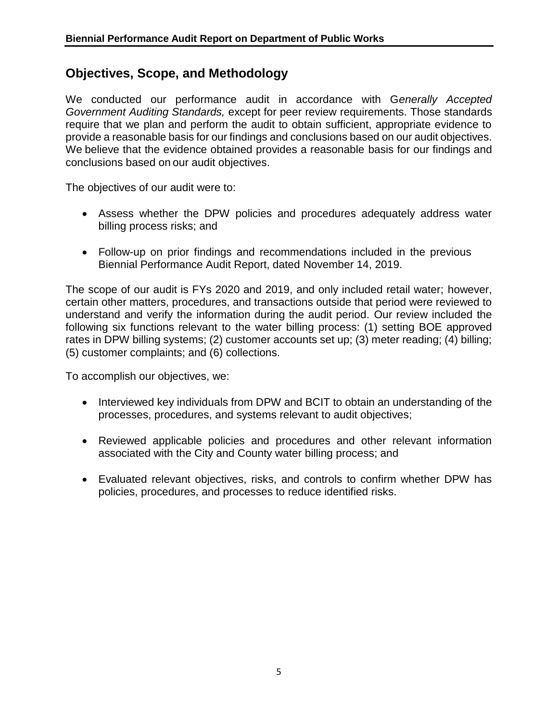## **Objectives, Scope, and Methodology**

We conducted our performance audit in accordance with G*enerally Accepted Government Auditing Standards,* except for peer review requirements. Those standards require that we plan and perform the audit to obtain sufficient, appropriate evidence to provide a reasonable basis for our findings and conclusions based on our audit objectives. We believe that the evidence obtained provides a reasonable basis for our findings and conclusions based on our audit objectives.

The objectives of our audit were to:

- Assess whether the DPW policies and procedures adequately address water billing process risks; and
- Follow-up on prior findings and recommendations included in the previous Biennial Performance Audit Report, dated November 14, 2019.

The scope of our audit is FYs 2020 and 2019, and only included retail water; however, certain other matters, procedures, and transactions outside that period were reviewed to understand and verify the information during the audit period. Our review included the following six functions relevant to the water billing process: (1) setting BOE approved rates in DPW billing systems; (2) customer accounts set up; (3) meter reading; (4) billing; (5) customer complaints; and (6) collections.

To accomplish our objectives, we:

- Interviewed key individuals from DPW and BCIT to obtain an understanding of the processes, procedures, and systems relevant to audit objectives;
- Reviewed applicable policies and procedures and other relevant information associated with the City and County water billing process; and
- Evaluated relevant objectives, risks, and controls to confirm whether DPW has policies, procedures, and processes to reduce identified risks.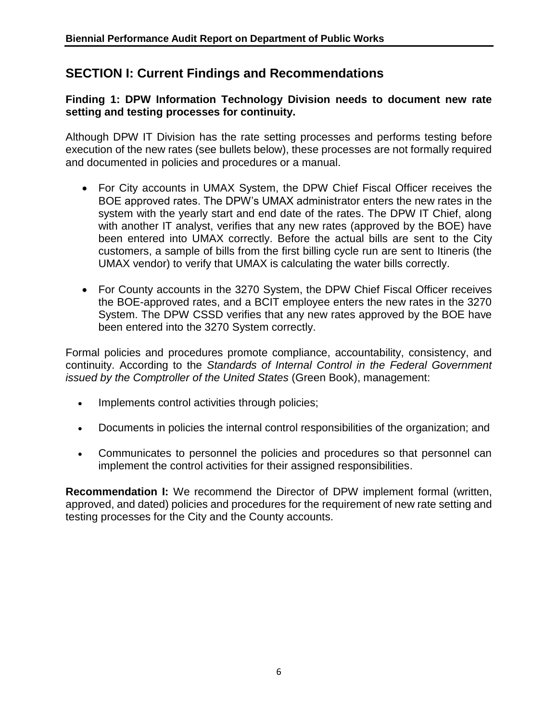## **SECTION I: Current Findings and Recommendations**

**Finding 1: DPW Information Technology Division needs to document new rate setting and testing processes for continuity.**

Although DPW IT Division has the rate setting processes and performs testing before execution of the new rates (see bullets below), these processes are not formally required and documented in policies and procedures or a manual.

- For City accounts in UMAX System, the DPW Chief Fiscal Officer receives the BOE approved rates. The DPW's UMAX administrator enters the new rates in the system with the yearly start and end date of the rates. The DPW IT Chief, along with another IT analyst, verifies that any new rates (approved by the BOE) have been entered into UMAX correctly. Before the actual bills are sent to the City customers, a sample of bills from the first billing cycle run are sent to Itineris (the UMAX vendor) to verify that UMAX is calculating the water bills correctly.
- For County accounts in the 3270 System, the DPW Chief Fiscal Officer receives the BOE-approved rates, and a BCIT employee enters the new rates in the 3270 System. The DPW CSSD verifies that any new rates approved by the BOE have been entered into the 3270 System correctly.

Formal policies and procedures promote compliance, accountability, consistency, and continuity. According to the *Standards of Internal Control in the Federal Government issued by the Comptroller of the United States* (Green Book), management:

- Implements control activities through policies;
- Documents in policies the internal control responsibilities of the organization; and
- Communicates to personnel the policies and procedures so that personnel can implement the control activities for their assigned responsibilities.

**Recommendation I:** We recommend the Director of DPW implement formal (written, approved, and dated) policies and procedures for the requirement of new rate setting and testing processes for the City and the County accounts.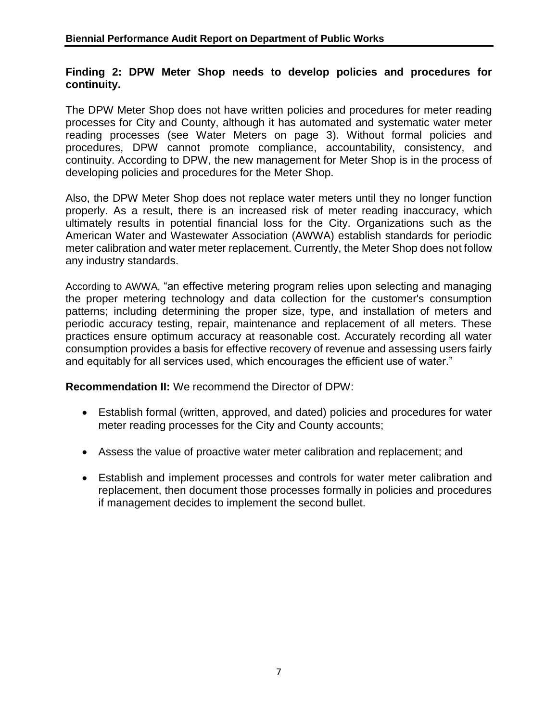#### **Finding 2: DPW Meter Shop needs to develop policies and procedures for continuity.**

The DPW Meter Shop does not have written policies and procedures for meter reading processes for City and County, although it has automated and systematic water meter reading processes (see Water Meters on page 3). Without formal policies and procedures, DPW cannot promote compliance, accountability, consistency, and continuity. According to DPW, the new management for Meter Shop is in the process of developing policies and procedures for the Meter Shop.

Also, the DPW Meter Shop does not replace water meters until they no longer function properly. As a result, there is an increased risk of meter reading inaccuracy, which ultimately results in potential financial loss for the City. Organizations such as the American Water and Wastewater Association (AWWA) establish standards for periodic meter calibration and water meter replacement. Currently, the Meter Shop does not follow any industry standards.

According to AWWA, "an effective metering program relies upon selecting and managing the proper metering technology and data collection for the customer's consumption patterns; including determining the proper size, type, and installation of meters and periodic accuracy testing, repair, maintenance and replacement of all meters. These practices ensure optimum accuracy at reasonable cost. Accurately recording all water consumption provides a basis for effective recovery of revenue and assessing users fairly and equitably for all services used, which encourages the efficient use of water."

**Recommendation II:** We recommend the Director of DPW:

- Establish formal (written, approved, and dated) policies and procedures for water meter reading processes for the City and County accounts;
- Assess the value of proactive water meter calibration and replacement; and
- Establish and implement processes and controls for water meter calibration and replacement, then document those processes formally in policies and procedures if management decides to implement the second bullet.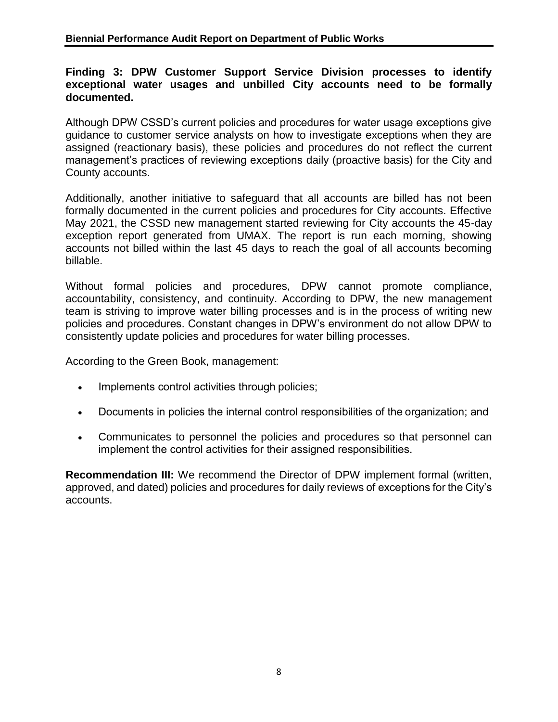#### **Finding 3: DPW Customer Support Service Division processes to identify exceptional water usages and unbilled City accounts need to be formally documented.**

Although DPW CSSD's current policies and procedures for water usage exceptions give guidance to customer service analysts on how to investigate exceptions when they are assigned (reactionary basis), these policies and procedures do not reflect the current management's practices of reviewing exceptions daily (proactive basis) for the City and County accounts.

Additionally, another initiative to safeguard that all accounts are billed has not been formally documented in the current policies and procedures for City accounts. Effective May 2021, the CSSD new management started reviewing for City accounts the 45-day exception report generated from UMAX. The report is run each morning, showing accounts not billed within the last 45 days to reach the goal of all accounts becoming billable.

Without formal policies and procedures, DPW cannot promote compliance, accountability, consistency, and continuity. According to DPW, the new management team is striving to improve water billing processes and is in the process of writing new policies and procedures. Constant changes in DPW's environment do not allow DPW to consistently update policies and procedures for water billing processes.

According to the Green Book, management:

- Implements control activities through policies;
- Documents in policies the internal control responsibilities of the organization; and
- Communicates to personnel the policies and procedures so that personnel can implement the control activities for their assigned responsibilities.

**Recommendation III:** We recommend the Director of DPW implement formal (written, approved, and dated) policies and procedures for daily reviews of exceptions for the City's accounts.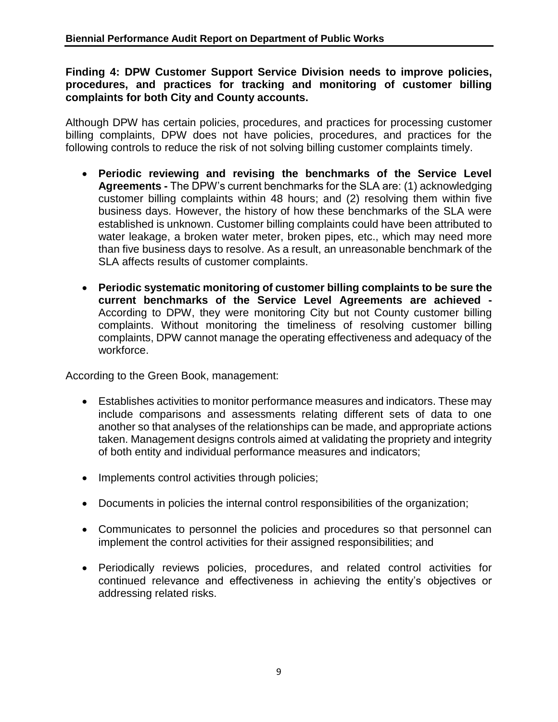**Finding 4: DPW Customer Support Service Division needs to improve policies, procedures, and practices for tracking and monitoring of customer billing complaints for both City and County accounts.** 

Although DPW has certain policies, procedures, and practices for processing customer billing complaints, DPW does not have policies, procedures, and practices for the following controls to reduce the risk of not solving billing customer complaints timely.

- **Periodic reviewing and revising the benchmarks of the Service Level Agreements -** The DPW's current benchmarks for the SLA are: (1) acknowledging customer billing complaints within 48 hours; and (2) resolving them within five business days. However, the history of how these benchmarks of the SLA were established is unknown. Customer billing complaints could have been attributed to water leakage, a broken water meter, broken pipes, etc., which may need more than five business days to resolve. As a result, an unreasonable benchmark of the SLA affects results of customer complaints.
- **Periodic systematic monitoring of customer billing complaints to be sure the current benchmarks of the Service Level Agreements are achieved -** According to DPW, they were monitoring City but not County customer billing complaints. Without monitoring the timeliness of resolving customer billing complaints, DPW cannot manage the operating effectiveness and adequacy of the workforce.

According to the Green Book, management:

- Establishes activities to monitor performance measures and indicators. These may include comparisons and assessments relating different sets of data to one another so that analyses of the relationships can be made, and appropriate actions taken. Management designs controls aimed at validating the propriety and integrity of both entity and individual performance measures and indicators;
- Implements control activities through policies;
- Documents in policies the internal control responsibilities of the organization;
- Communicates to personnel the policies and procedures so that personnel can implement the control activities for their assigned responsibilities; and
- Periodically reviews policies, procedures, and related control activities for continued relevance and effectiveness in achieving the entity's objectives or addressing related risks.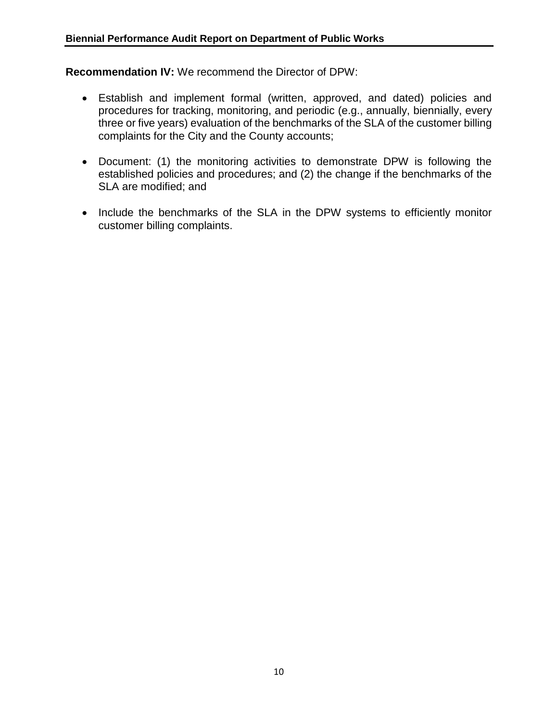**Recommendation IV:** We recommend the Director of DPW:

- Establish and implement formal (written, approved, and dated) policies and procedures for tracking, monitoring, and periodic (e.g., annually, biennially, every three or five years) evaluation of the benchmarks of the SLA of the customer billing complaints for the City and the County accounts;
- Document: (1) the monitoring activities to demonstrate DPW is following the established policies and procedures; and (2) the change if the benchmarks of the SLA are modified; and
- Include the benchmarks of the SLA in the DPW systems to efficiently monitor customer billing complaints.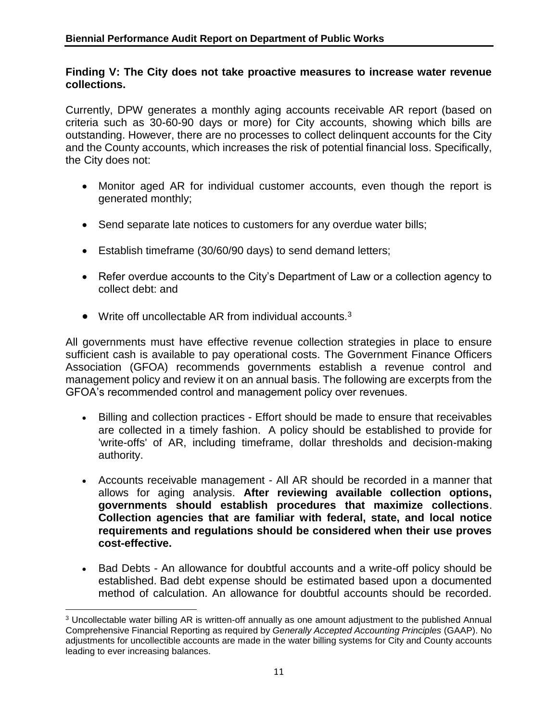#### **Finding V: The City does not take proactive measures to increase water revenue collections.**

Currently, DPW generates a monthly aging accounts receivable AR report (based on criteria such as 30-60-90 days or more) for City accounts, showing which bills are outstanding. However, there are no processes to collect delinquent accounts for the City and the County accounts, which increases the risk of potential financial loss. Specifically, the City does not:

- Monitor aged AR for individual customer accounts, even though the report is generated monthly;
- Send separate late notices to customers for any overdue water bills;
- Establish timeframe (30/60/90 days) to send demand letters;
- Refer overdue accounts to the City's Department of Law or a collection agency to collect debt: and
- Write off uncollectable AR from individual accounts. $3$

All governments must have effective revenue collection strategies in place to ensure sufficient cash is available to pay operational costs. The Government Finance Officers Association (GFOA) recommends governments establish a revenue control and management policy and review it on an annual basis. The following are excerpts from the GFOA's recommended control and management policy over revenues.

- Billing and collection practices Effort should be made to ensure that receivables are collected in a timely fashion. A policy should be established to provide for 'write-offs' of AR, including timeframe, dollar thresholds and decision-making authority.
- Accounts receivable management All AR should be recorded in a manner that allows for aging analysis. **After reviewing available collection options, governments should establish procedures that maximize collections**. **Collection agencies that are familiar with federal, state, and local notice requirements and regulations should be considered when their use proves cost-effective.**
- Bad Debts An allowance for doubtful accounts and a write-off policy should be established. Bad debt expense should be estimated based upon a documented method of calculation. An allowance for doubtful accounts should be recorded.

 $\overline{a}$ <sup>3</sup> Uncollectable water billing AR is written-off annually as one amount adjustment to the published Annual Comprehensive Financial Reporting as required by *Generally Accepted Accounting Principles* (GAAP). No adjustments for uncollectible accounts are made in the water billing systems for City and County accounts leading to ever increasing balances.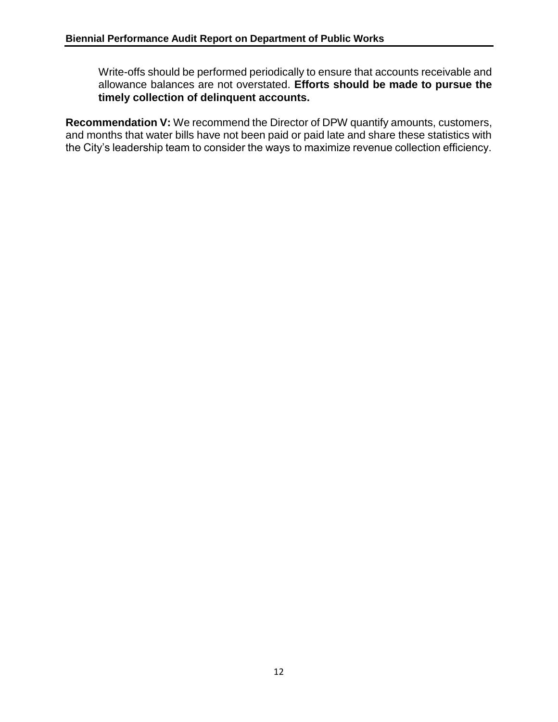Write-offs should be performed periodically to ensure that accounts receivable and allowance balances are not overstated. **Efforts should be made to pursue the timely collection of delinquent accounts.**

**Recommendation V:** We recommend the Director of DPW quantify amounts, customers, and months that water bills have not been paid or paid late and share these statistics with the City's leadership team to consider the ways to maximize revenue collection efficiency.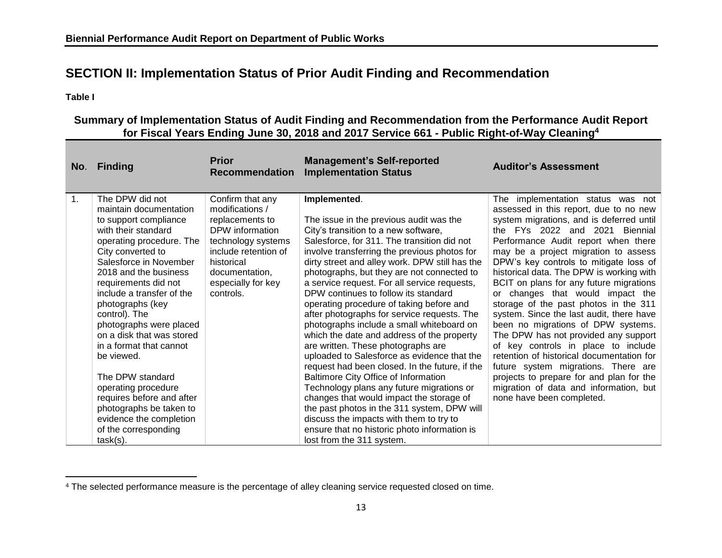## **SECTION II: Implementation Status of Prior Audit Finding and Recommendation**

**Table I** 

#### **Summary of Implementation Status of Audit Finding and Recommendation from the Performance Audit Report for Fiscal Years Ending June 30, 2018 and 2017 Service 661 - Public Right-of-Way Cleaning 4**

|    | No. Finding                                                                                                                                                                                                                                                                                                                                                                                                                                                                                                                                                   | <b>Prior</b><br><b>Recommendation</b>                                                                                                                                                      | <b>Management's Self-reported</b><br><b>Implementation Status</b>                                                                                                                                                                                                                                                                                                                                                                                                                                                                                                                                                                                                                                                                                                                                                                                                                                                                                                                                                           | <b>Auditor's Assessment</b>                                                                                                                                                                                                                                                                                                                                                                                                                                                                                                                                                                                                                                                                                                                                                                                                    |
|----|---------------------------------------------------------------------------------------------------------------------------------------------------------------------------------------------------------------------------------------------------------------------------------------------------------------------------------------------------------------------------------------------------------------------------------------------------------------------------------------------------------------------------------------------------------------|--------------------------------------------------------------------------------------------------------------------------------------------------------------------------------------------|-----------------------------------------------------------------------------------------------------------------------------------------------------------------------------------------------------------------------------------------------------------------------------------------------------------------------------------------------------------------------------------------------------------------------------------------------------------------------------------------------------------------------------------------------------------------------------------------------------------------------------------------------------------------------------------------------------------------------------------------------------------------------------------------------------------------------------------------------------------------------------------------------------------------------------------------------------------------------------------------------------------------------------|--------------------------------------------------------------------------------------------------------------------------------------------------------------------------------------------------------------------------------------------------------------------------------------------------------------------------------------------------------------------------------------------------------------------------------------------------------------------------------------------------------------------------------------------------------------------------------------------------------------------------------------------------------------------------------------------------------------------------------------------------------------------------------------------------------------------------------|
| 1. | The DPW did not<br>maintain documentation<br>to support compliance<br>with their standard<br>operating procedure. The<br>City converted to<br>Salesforce in November<br>2018 and the business<br>requirements did not<br>include a transfer of the<br>photographs (key<br>control). The<br>photographs were placed<br>on a disk that was stored<br>in a format that cannot<br>be viewed.<br>The DPW standard<br>operating procedure<br>requires before and after<br>photographs be taken to<br>evidence the completion<br>of the corresponding<br>$task(s)$ . | Confirm that any<br>modifications /<br>replacements to<br>DPW information<br>technology systems<br>include retention of<br>historical<br>documentation,<br>especially for key<br>controls. | Implemented.<br>The issue in the previous audit was the<br>City's transition to a new software,<br>Salesforce, for 311. The transition did not<br>involve transferring the previous photos for<br>dirty street and alley work. DPW still has the<br>photographs, but they are not connected to<br>a service request. For all service requests,<br>DPW continues to follow its standard<br>operating procedure of taking before and<br>after photographs for service requests. The<br>photographs include a small whiteboard on<br>which the date and address of the property<br>are written. These photographs are<br>uploaded to Salesforce as evidence that the<br>request had been closed. In the future, if the<br>Baltimore City Office of Information<br>Technology plans any future migrations or<br>changes that would impact the storage of<br>the past photos in the 311 system, DPW will<br>discuss the impacts with them to try to<br>ensure that no historic photo information is<br>lost from the 311 system. | The implementation status was not<br>assessed in this report, due to no new<br>system migrations, and is deferred until<br>the FYs 2022 and 2021 Biennial<br>Performance Audit report when there<br>may be a project migration to assess<br>DPW's key controls to mitigate loss of<br>historical data. The DPW is working with<br>BCIT on plans for any future migrations<br>or changes that would impact the<br>storage of the past photos in the 311<br>system. Since the last audit, there have<br>been no migrations of DPW systems.<br>The DPW has not provided any support<br>of key controls in place to include<br>retention of historical documentation for<br>future system migrations. There are<br>projects to prepare for and plan for the<br>migration of data and information, but<br>none have been completed. |

 $\overline{\phantom{a}}$ <sup>4</sup> The selected performance measure is the percentage of alley cleaning service requested closed on time.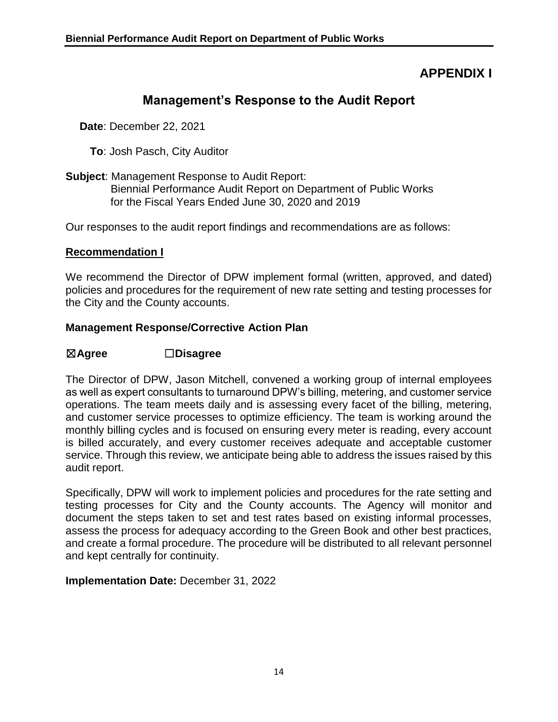## **APPENDIX I**

## **Management's Response to the Audit Report**

**Date**: December 22, 2021

- **To**: Josh Pasch, City Auditor
- **Subject**: Management Response to Audit Report: Biennial Performance Audit Report on Department of Public Works for the Fiscal Years Ended June 30, 2020 and 2019

Our responses to the audit report findings and recommendations are as follows:

#### **Recommendation I**

We recommend the Director of DPW implement formal (written, approved, and dated) policies and procedures for the requirement of new rate setting and testing processes for the City and the County accounts.

#### **Management Response/Corrective Action Plan**

#### ☒**Agree** ☐**Disagree**

The Director of DPW, Jason Mitchell, convened a working group of internal employees as well as expert consultants to turnaround DPW's billing, metering, and customer service operations. The team meets daily and is assessing every facet of the billing, metering, and customer service processes to optimize efficiency. The team is working around the monthly billing cycles and is focused on ensuring every meter is reading, every account is billed accurately, and every customer receives adequate and acceptable customer service. Through this review, we anticipate being able to address the issues raised by this audit report.

Specifically, DPW will work to implement policies and procedures for the rate setting and testing processes for City and the County accounts. The Agency will monitor and document the steps taken to set and test rates based on existing informal processes, assess the process for adequacy according to the Green Book and other best practices, and create a formal procedure. The procedure will be distributed to all relevant personnel and kept centrally for continuity.

**Implementation Date:** December 31, 2022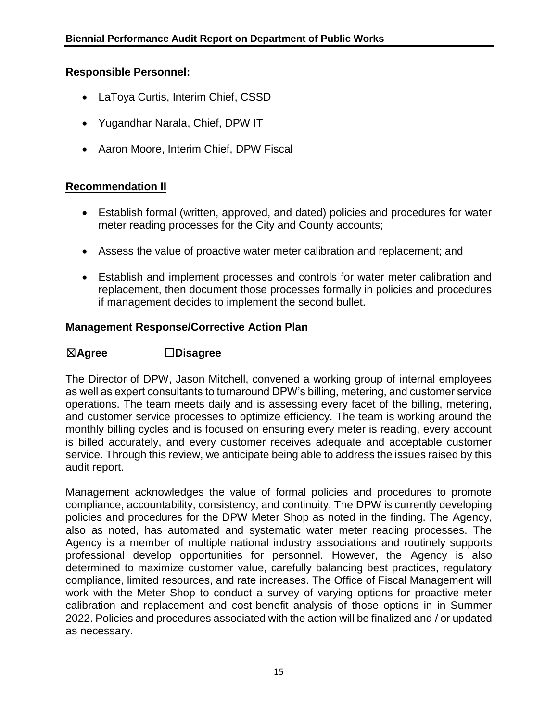#### **Responsible Personnel:**

- LaToya Curtis, Interim Chief, CSSD
- Yugandhar Narala, Chief, DPW IT
- Aaron Moore, Interim Chief, DPW Fiscal

#### **Recommendation II**

- Establish formal (written, approved, and dated) policies and procedures for water meter reading processes for the City and County accounts;
- Assess the value of proactive water meter calibration and replacement; and
- Establish and implement processes and controls for water meter calibration and replacement, then document those processes formally in policies and procedures if management decides to implement the second bullet.

#### **Management Response/Corrective Action Plan**

#### ☒**Agree** ☐**Disagree**

The Director of DPW, Jason Mitchell, convened a working group of internal employees as well as expert consultants to turnaround DPW's billing, metering, and customer service operations. The team meets daily and is assessing every facet of the billing, metering, and customer service processes to optimize efficiency. The team is working around the monthly billing cycles and is focused on ensuring every meter is reading, every account is billed accurately, and every customer receives adequate and acceptable customer service. Through this review, we anticipate being able to address the issues raised by this audit report.

Management acknowledges the value of formal policies and procedures to promote compliance, accountability, consistency, and continuity. The DPW is currently developing policies and procedures for the DPW Meter Shop as noted in the finding. The Agency, also as noted, has automated and systematic water meter reading processes. The Agency is a member of multiple national industry associations and routinely supports professional develop opportunities for personnel. However, the Agency is also determined to maximize customer value, carefully balancing best practices, regulatory compliance, limited resources, and rate increases. The Office of Fiscal Management will work with the Meter Shop to conduct a survey of varying options for proactive meter calibration and replacement and cost-benefit analysis of those options in in Summer 2022. Policies and procedures associated with the action will be finalized and / or updated as necessary.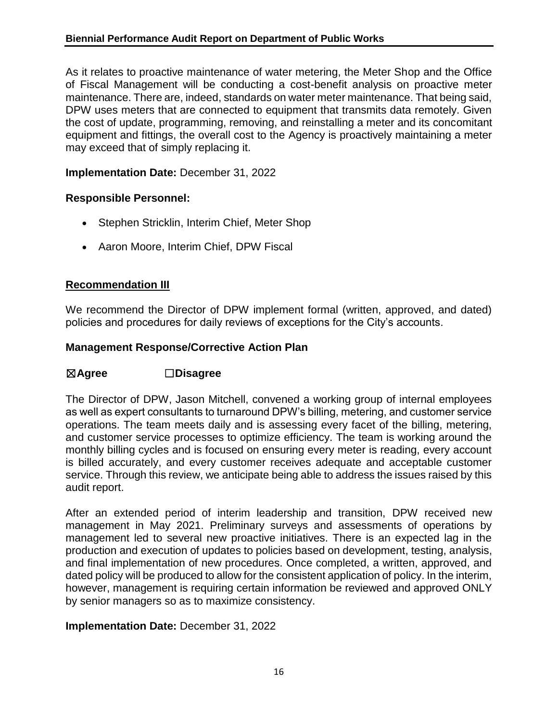As it relates to proactive maintenance of water metering, the Meter Shop and the Office of Fiscal Management will be conducting a cost-benefit analysis on proactive meter maintenance. There are, indeed, standards on water meter maintenance. That being said, DPW uses meters that are connected to equipment that transmits data remotely. Given the cost of update, programming, removing, and reinstalling a meter and its concomitant equipment and fittings, the overall cost to the Agency is proactively maintaining a meter may exceed that of simply replacing it.

#### **Implementation Date:** December 31, 2022

#### **Responsible Personnel:**

- Stephen Stricklin, Interim Chief, Meter Shop
- Aaron Moore, Interim Chief, DPW Fiscal

#### **Recommendation III**

We recommend the Director of DPW implement formal (written, approved, and dated) policies and procedures for daily reviews of exceptions for the City's accounts.

#### **Management Response/Corrective Action Plan**

#### ☒**Agree** ☐**Disagree**

The Director of DPW, Jason Mitchell, convened a working group of internal employees as well as expert consultants to turnaround DPW's billing, metering, and customer service operations. The team meets daily and is assessing every facet of the billing, metering, and customer service processes to optimize efficiency. The team is working around the monthly billing cycles and is focused on ensuring every meter is reading, every account is billed accurately, and every customer receives adequate and acceptable customer service. Through this review, we anticipate being able to address the issues raised by this audit report.

After an extended period of interim leadership and transition, DPW received new management in May 2021. Preliminary surveys and assessments of operations by management led to several new proactive initiatives. There is an expected lag in the production and execution of updates to policies based on development, testing, analysis, and final implementation of new procedures. Once completed, a written, approved, and dated policy will be produced to allow for the consistent application of policy. In the interim, however, management is requiring certain information be reviewed and approved ONLY by senior managers so as to maximize consistency.

#### **Implementation Date:** December 31, 2022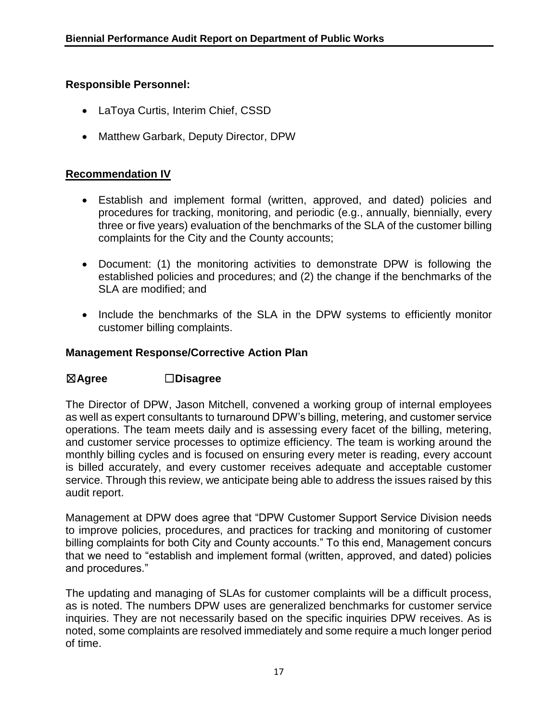#### **Responsible Personnel:**

- LaToya Curtis, Interim Chief, CSSD
- Matthew Garbark, Deputy Director, DPW

#### **Recommendation IV**

- Establish and implement formal (written, approved, and dated) policies and procedures for tracking, monitoring, and periodic (e.g., annually, biennially, every three or five years) evaluation of the benchmarks of the SLA of the customer billing complaints for the City and the County accounts;
- Document: (1) the monitoring activities to demonstrate DPW is following the established policies and procedures; and (2) the change if the benchmarks of the SLA are modified; and
- Include the benchmarks of the SLA in the DPW systems to efficiently monitor customer billing complaints.

#### **Management Response/Corrective Action Plan**

#### ☒**Agree** ☐**Disagree**

The Director of DPW, Jason Mitchell, convened a working group of internal employees as well as expert consultants to turnaround DPW's billing, metering, and customer service operations. The team meets daily and is assessing every facet of the billing, metering, and customer service processes to optimize efficiency. The team is working around the monthly billing cycles and is focused on ensuring every meter is reading, every account is billed accurately, and every customer receives adequate and acceptable customer service. Through this review, we anticipate being able to address the issues raised by this audit report.

Management at DPW does agree that "DPW Customer Support Service Division needs to improve policies, procedures, and practices for tracking and monitoring of customer billing complaints for both City and County accounts." To this end, Management concurs that we need to "establish and implement formal (written, approved, and dated) policies and procedures."

The updating and managing of SLAs for customer complaints will be a difficult process, as is noted. The numbers DPW uses are generalized benchmarks for customer service inquiries. They are not necessarily based on the specific inquiries DPW receives. As is noted, some complaints are resolved immediately and some require a much longer period of time.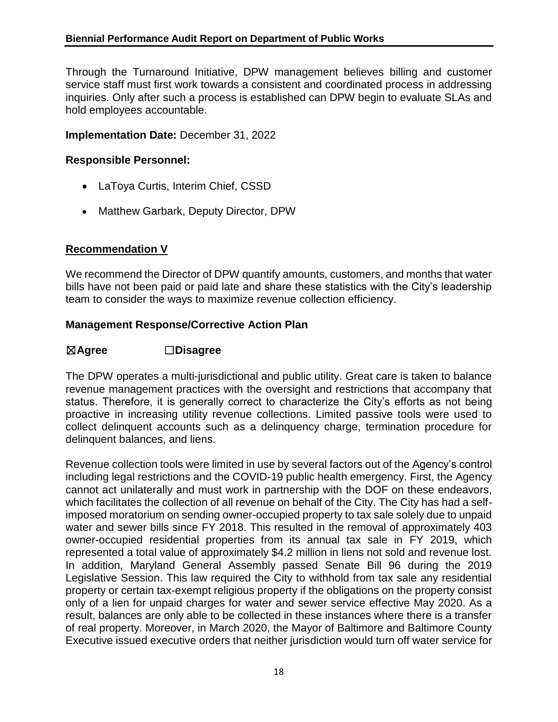Through the Turnaround Initiative, DPW management believes billing and customer service staff must first work towards a consistent and coordinated process in addressing inquiries. Only after such a process is established can DPW begin to evaluate SLAs and hold employees accountable.

#### **Implementation Date:** December 31, 2022

#### **Responsible Personnel:**

- LaToya Curtis, Interim Chief, CSSD
- Matthew Garbark, Deputy Director, DPW

#### **Recommendation V**

We recommend the Director of DPW quantify amounts, customers, and months that water bills have not been paid or paid late and share these statistics with the City's leadership team to consider the ways to maximize revenue collection efficiency.

#### **Management Response/Corrective Action Plan**

#### ☒**Agree** ☐**Disagree**

The DPW operates a multi-jurisdictional and public utility. Great care is taken to balance revenue management practices with the oversight and restrictions that accompany that status. Therefore, it is generally correct to characterize the City's efforts as not being proactive in increasing utility revenue collections. Limited passive tools were used to collect delinquent accounts such as a delinquency charge, termination procedure for delinquent balances, and liens.

Revenue collection tools were limited in use by several factors out of the Agency's control including legal restrictions and the COVID-19 public health emergency. First, the Agency cannot act unilaterally and must work in partnership with the DOF on these endeavors, which facilitates the collection of all revenue on behalf of the City. The City has had a selfimposed moratorium on sending owner-occupied property to tax sale solely due to unpaid water and sewer bills since FY 2018. This resulted in the removal of approximately 403 owner-occupied residential properties from its annual tax sale in FY 2019, which represented a total value of approximately \$4.2 million in liens not sold and revenue lost. In addition, Maryland General Assembly passed Senate Bill 96 during the 2019 Legislative Session. This law required the City to withhold from tax sale any residential property or certain tax-exempt religious property if the obligations on the property consist only of a lien for unpaid charges for water and sewer service effective May 2020. As a result, balances are only able to be collected in these instances where there is a transfer of real property. Moreover, in March 2020, the Mayor of Baltimore and Baltimore County Executive issued executive orders that neither jurisdiction would turn off water service for